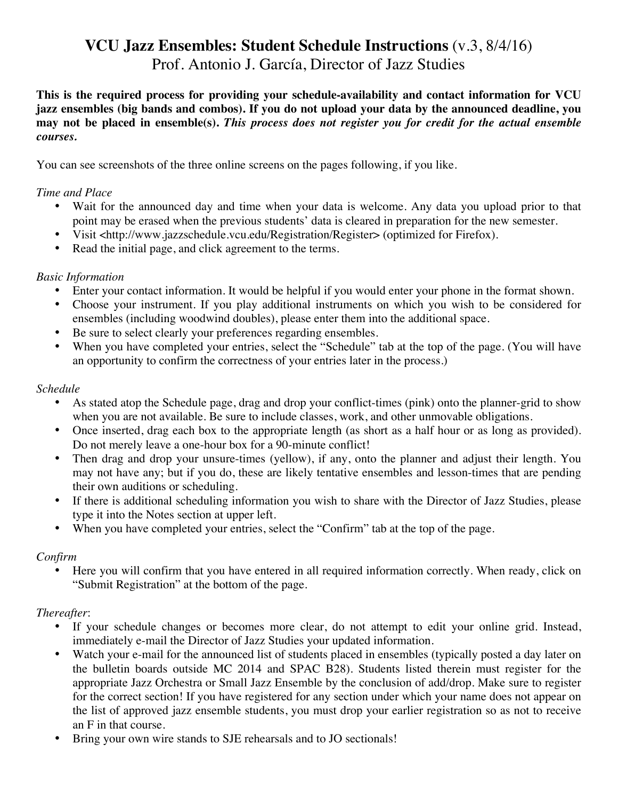# **VCU Jazz Ensembles: Student Schedule Instructions** (v.3, 8/4/16) Prof. Antonio J. García, Director of Jazz Studies

**This is the required process for providing your schedule-availability and contact information for VCU jazz ensembles (big bands and combos). If you do not upload your data by the announced deadline, you may not be placed in ensemble(s).** *This process does not register you for credit for the actual ensemble courses.*

You can see screenshots of the three online screens on the pages following, if you like.

#### *Time and Place*

- Wait for the announced day and time when your data is welcome. Any data you upload prior to that point may be erased when the previous students' data is cleared in preparation for the new semester.
- Visit <http://www.jazzschedule.vcu.edu/Registration/Register> (optimized for Firefox).
- Read the initial page, and click agreement to the terms.

#### *Basic Information*

- Enter your contact information. It would be helpful if you would enter your phone in the format shown.
- Choose your instrument. If you play additional instruments on which you wish to be considered for ensembles (including woodwind doubles), please enter them into the additional space.
- Be sure to select clearly your preferences regarding ensembles.
- When you have completed your entries, select the "Schedule" tab at the top of the page. (You will have an opportunity to confirm the correctness of your entries later in the process.)

#### *Schedule*

- As stated atop the Schedule page, drag and drop your conflict-times (pink) onto the planner-grid to show when you are not available. Be sure to include classes, work, and other unmovable obligations.
- Once inserted, drag each box to the appropriate length (as short as a half hour or as long as provided). Do not merely leave a one-hour box for a 90-minute conflict!
- Then drag and drop your unsure-times (yellow), if any, onto the planner and adjust their length. You may not have any; but if you do, these are likely tentative ensembles and lesson-times that are pending their own auditions or scheduling.
- If there is additional scheduling information you wish to share with the Director of Jazz Studies, please type it into the Notes section at upper left.
- When you have completed your entries, select the "Confirm" tab at the top of the page.

## *Confirm*

Here you will confirm that you have entered in all required information correctly. When ready, click on "Submit Registration" at the bottom of the page.

## *Thereafter*:

- If your schedule changes or becomes more clear, do not attempt to edit your online grid. Instead, immediately e-mail the Director of Jazz Studies your updated information.
- Watch your e-mail for the announced list of students placed in ensembles (typically posted a day later on the bulletin boards outside MC 2014 and SPAC B28). Students listed therein must register for the appropriate Jazz Orchestra or Small Jazz Ensemble by the conclusion of add/drop. Make sure to register for the correct section! If you have registered for any section under which your name does not appear on the list of approved jazz ensemble students, you must drop your earlier registration so as not to receive an F in that course.
- Bring your own wire stands to SJE rehearsals and to JO sectionals!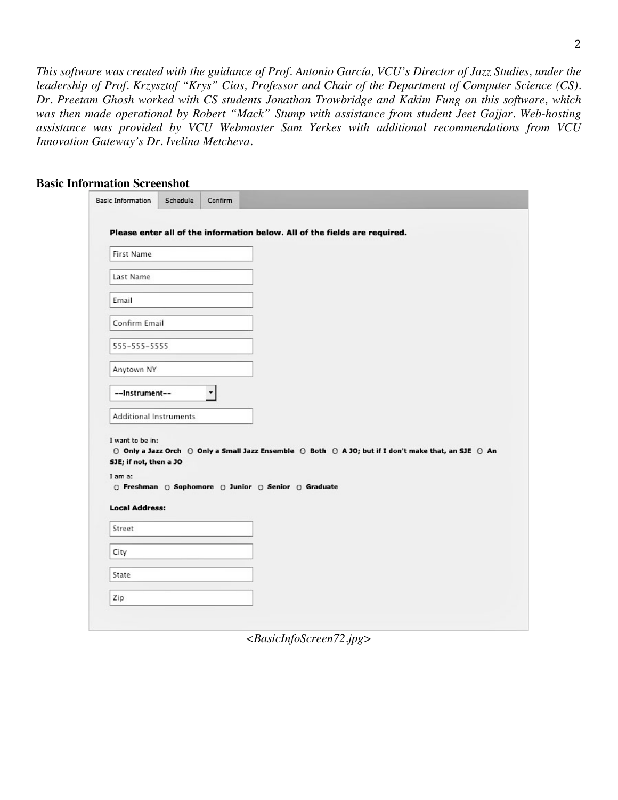*This software was created with the guidance of Prof. Antonio García, VCU's Director of Jazz Studies, under the leadership of Prof. Krzysztof "Krys" Cios, Professor and Chair of the Department of Computer Science (CS). Dr. Preetam Ghosh worked with CS students Jonathan Trowbridge and Kakim Fung on this software, which was then made operational by Robert "Mack" Stump with assistance from student Jeet Gajjar. Web-hosting assistance was provided by VCU Webmaster Sam Yerkes with additional recommendations from VCU Innovation Gateway's Dr. Ivelina Metcheva.*

#### **Basic Information Screenshot**

|                        |   | Please enter all of the information below. All of the fields are required. |                                                                                                      |
|------------------------|---|----------------------------------------------------------------------------|------------------------------------------------------------------------------------------------------|
| First Name             |   |                                                                            |                                                                                                      |
| Last Name              |   |                                                                            |                                                                                                      |
| Email                  |   |                                                                            |                                                                                                      |
| Confirm Email          |   |                                                                            |                                                                                                      |
| 555-555-5555           |   |                                                                            |                                                                                                      |
| Anytown NY             |   |                                                                            |                                                                                                      |
| --instrument--         | ۰ |                                                                            |                                                                                                      |
| Additional Instruments |   |                                                                            |                                                                                                      |
| I want to be in:       |   |                                                                            |                                                                                                      |
| SJE; if not, then a JO |   |                                                                            | ⊙ Only a Jazz Orch ⊙ Only a Small Jazz Ensemble ⊙ Both ⊙ A JO; but if I don't make that, an SJE ⊙ An |
| I am a:                |   |                                                                            |                                                                                                      |
|                        |   | ⊙ Freshman ⊙ Sophomore ⊙ Junior ⊙ Senior ⊙ Graduate                        |                                                                                                      |
| <b>Local Address:</b>  |   |                                                                            |                                                                                                      |
| Street                 |   |                                                                            |                                                                                                      |
| City                   |   |                                                                            |                                                                                                      |
| State                  |   |                                                                            |                                                                                                      |
|                        |   |                                                                            |                                                                                                      |

*<BasicInfoScreen72.jpg>*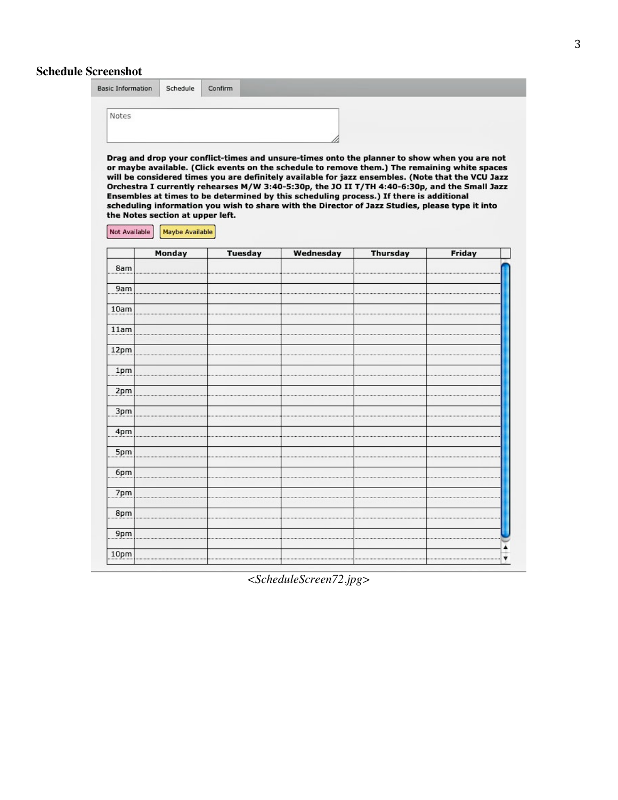# **Schedule Screenshot**

| Notes                            |  |                                                                                                                                                                                                    |
|----------------------------------|--|----------------------------------------------------------------------------------------------------------------------------------------------------------------------------------------------------|
|                                  |  |                                                                                                                                                                                                    |
|                                  |  |                                                                                                                                                                                                    |
|                                  |  |                                                                                                                                                                                                    |
|                                  |  | Drag and drop your conflict-times and unsure-times onto the planner to show when you are not                                                                                                       |
|                                  |  | or maybe available. (Click events on the schedule to remove them.) The remaining white spaces                                                                                                      |
|                                  |  | will be considered times you are definitely available for jazz ensembles. (Note that the VCU Jazz<br>Orchestra I currently rehearses M/W 3:40-5:30p, the JO II T/TH 4:40-6:30p, and the Small Jazz |
|                                  |  | Ensembles at times to be determined by this scheduling process.) If there is additional                                                                                                            |
| the Notes section at upper left. |  | scheduling information you wish to share with the Director of Jazz Studies, please type it into                                                                                                    |

|                  | monday | Tuesday | weanesaay | Thursday | Friday |
|------------------|--------|---------|-----------|----------|--------|
| 8am              |        |         |           |          |        |
| 9am              |        |         |           |          |        |
| 10am             |        |         |           |          |        |
| 11am             |        |         |           |          |        |
| 12pm             |        |         |           |          |        |
| 1 <sub>pm</sub>  |        |         |           |          |        |
| 2pm              |        |         |           |          |        |
| 3pm              |        |         |           |          |        |
| 4pm              |        |         |           |          |        |
| 5pm              |        |         |           |          |        |
| 6pm              |        |         |           |          |        |
| 7pm              |        |         |           |          |        |
| 8pm              |        |         |           |          |        |
| 9pm              |        |         |           |          |        |
| 10 <sub>pm</sub> |        |         |           |          |        |

*<ScheduleScreen72.jpg>*